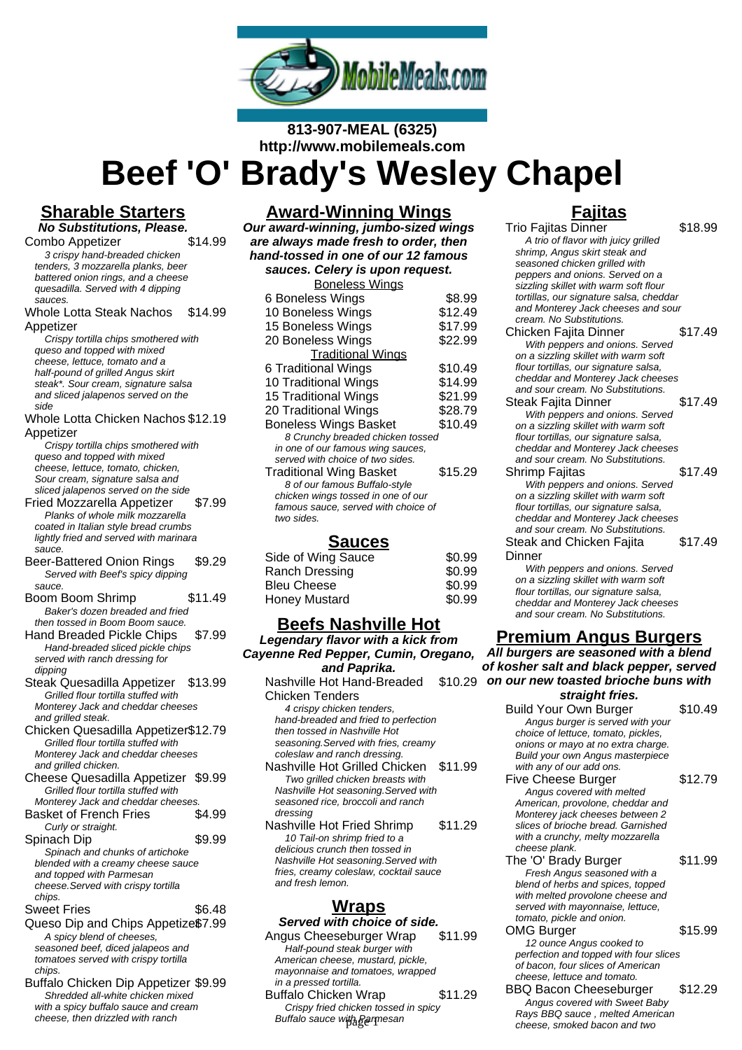

### **813-907-MEAL (6325) http://www.mobilemeals.com**

**Beef 'O' Brady's Wesley Chapel**

## **Sharable Starters**

**No Substitutions, Please.** Combo Appetizer \$14.99 3 crispy hand-breaded chicken tenders, 3 mozzarella planks, beer battered onion rings, and a cheese quesadilla. Served with 4 dipping sauces.

#### Whole Lotta Steak Nachos Appetizer \$14.99

Crispy tortilla chips smothered with queso and topped with mixed cheese, lettuce, tomato and a half-pound of grilled Angus skirt steak\*. Sour cream, signature salsa and sliced jalapenos served on the side

#### Whole Lotta Chicken Nachos \$12.19 Appetizer

Crispy tortilla chips smothered with queso and topped with mixed cheese, lettuce, tomato, chicken, Sour cream, signature salsa and sliced jalapenos served on the side

Fried Mozzarella Appetizer \$7.99 Planks of whole milk mozzarella coated in Italian style bread crumbs lightly fried and served with marinara sauce.

- Beer-Battered Onion Rings \$9.29 Served with Beef's spicy dipping sauce.
- Boom Boom Shrimp \$11.49 Baker's dozen breaded and fried then tossed in Boom Boom sauce.

Hand Breaded Pickle Chips \$7.99 Hand-breaded sliced pickle chips served with ranch dressing for dipping

Steak Quesadilla Appetizer \$13.99 Grilled flour tortilla stuffed with Monterey Jack and cheddar cheeses and grilled steak.

Chicken Quesadilla Appetizer\$12.79 Grilled flour tortilla stuffed with Monterey Jack and cheddar cheeses and grilled chicken.

Cheese Quesadilla Appetizer \$9.99 Grilled flour tortilla stuffed with Monterey Jack and cheddar cheeses.

| <b>Basket of French Fries</b>       | \$4.99 |
|-------------------------------------|--------|
| Curly or straight.                  |        |
| Spinach Dip                         | \$9.99 |
| Spinach and chunks of artichoke     |        |
| blended with a creamy cheese sauce  |        |
| and topped with Parmesan            |        |
| cheese. Served with crispy tortilla |        |
| chins                               |        |

#### Sweet Fries \$6.48

- Queso Dip and Chips Appetize\$7.99 A spicy blend of cheeses, seasoned beef, diced jalapeos and tomatoes served with crispy tortilla chips.
- Buffalo Chicken Dip Appetizer \$9.99 Shredded all-white chicken mixed with a spicy buffalo sauce and cream cheese, then drizzled with ranch

### **Award-Winning Wings**

**Our award-winning, jumbo-sized wings are always made fresh to order, then hand-tossed in one of our 12 famous sauces. Celery is upon request.**

| <b>Boneless Wings</b>               |         |
|-------------------------------------|---------|
| 6 Boneless Wings                    | \$8.99  |
| 10 Boneless Wings                   | \$12.49 |
| 15 Boneless Wings                   | \$17.99 |
| 20 Boneless Wings                   | \$22.99 |
| <b>Traditional Wings</b>            |         |
| 6 Traditional Wings                 | \$10.49 |
| 10 Traditional Wings                | \$14.99 |
| 15 Traditional Wings                | \$21.99 |
| 20 Traditional Wings                | \$28.79 |
| <b>Boneless Wings Basket</b>        | \$10.49 |
| 8 Crunchy breaded chicken tossed    |         |
| in one of our famous wing sauces,   |         |
| served with choice of two sides.    |         |
| <b>Traditional Wing Basket</b>      | \$15.29 |
| 8 of our famous Buffalo-style       |         |
| chicken wings tossed in one of our  |         |
| famous sauce, served with choice of |         |
| two sides                           |         |

### **Sauces**

| Side of Wing Sauce   | \$0.99 |
|----------------------|--------|
| Ranch Dressing       | \$0.99 |
| <b>Bleu Cheese</b>   | \$0.99 |
| <b>Honey Mustard</b> | \$0.99 |

### **Beefs Nashville Hot**

**Legendary flavor with a kick from Cayenne Red Pepper, Cumin, Oregano, and Paprika.** Nashville Hot Hand-Breaded Chicken Tenders 4 crispy chicken tenders, hand-breaded and fried to perfection then tossed in Nashville Hot seasoning.Served with fries, creamy coleslaw and ranch dressing. Nashville Hot Grilled Chicken \$11.99 Two grilled chicken breasts with Nashville Hot seasoning.Served with seasoned rice, broccoli and ranch dressing Nashville Hot Fried Shrimp \$11.29 10 Tail-on shrimp fried to a

delicious crunch then tossed in Nashville Hot seasoning.Served with fries, creamy coleslaw, cocktail sauce and fresh lemon.

### **Wraps**

#### **Served with choice of side.** Angus Cheeseburger Wrap \$11.99 Half-pound steak burger with

American cheese, mustard, pickle, mayonnaise and tomatoes, wrapped in a pressed tortilla. Buffalo Chicken Wrap \$11.29 Crispy fried chicken tossed in spicy Buffalo sauce with Parmesan

## **Fajitas**

Trio Fajitas Dinner \$18.99 A trio of flavor with juicy grilled shrimp, Angus skirt steak and seasoned chicken grilled with peppers and onions. Served on a sizzling skillet with warm soft flour tortillas, our signature salsa, cheddar and Monterey Jack cheeses and sour cream. No Substitutions. Chicken Fajita Dinner \$17.49 With peppers and onions. Served on a sizzling skillet with warm soft flour tortillas, our signature salsa, cheddar and Monterey Jack cheeses and sour cream. No Substitutions. Steak Fajita Dinner \$17.49 With peppers and onions. Served on a sizzling skillet with warm soft flour tortillas, our signature salsa, cheddar and Monterey Jack cheeses and sour cream. No Substitutions. Shrimp Faiitas **\$17.49** With peppers and onions. Served on a sizzling skillet with warm soft flour tortillas, our signature salsa, cheddar and Monterey Jack cheeses and sour cream. No Substitutions. Steak and Chicken Fajita **Dinner** \$17.49 With peppers and onions. Served on a sizzling skillet with warm soft flour tortillas, our signature salsa, cheddar and Monterey Jack cheeses and sour cream. No Substitutions.

## **Premium Angus Burgers**

\$10.29 **on our new toasted brioche buns with All burgers are seasoned with a blend of kosher salt and black pepper, served straight fries.**

Build Your Own Burger \$10.49 Angus burger is served with your choice of lettuce, tomato, pickles, onions or mayo at no extra charge. Build your own Angus masterpiece with any of our add ons.

Five Cheese Burger \$12.79

- Angus covered with melted American, provolone, cheddar and Monterey jack cheeses between 2 slices of brioche bread. Garnished with a crunchy, melty mozzarella cheese plank.
- The 'O' Brady Burger \$11.99 Fresh Angus seasoned with a blend of herbs and spices, topped with melted provolone cheese and served with mayonnaise, lettuce, tomato, pickle and onion.

### OMG Burger \$15.99

12 ounce Angus cooked to perfection and topped with four slices of bacon, four slices of American cheese, lettuce and tomato. BBQ Bacon Cheeseburger \$12.29

Angus covered with Sweet Baby Rays BBQ sauce , melted American cheese, smoked bacon and two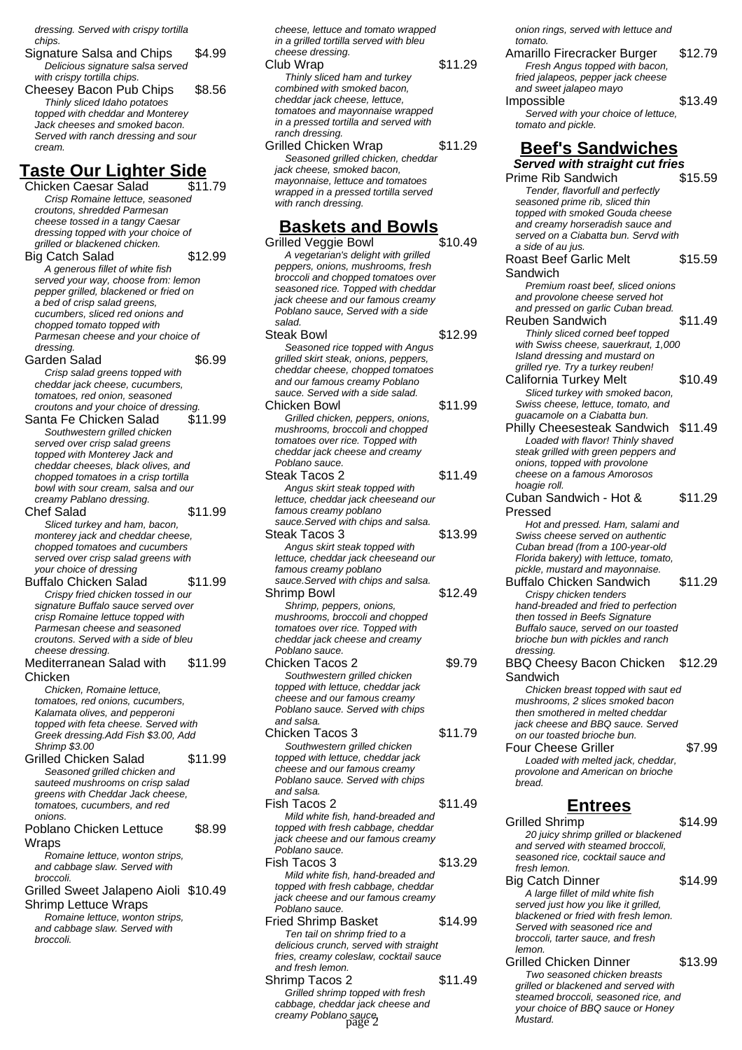dressing. Served with crispy tortilla chips.

Signature Salsa and Chips \$4.99 Delicious signature salsa served with crispy tortilla chips. Cheesey Bacon Pub Chips \$8.56 Thinly sliced Idaho potatoes topped with cheddar and Monterey Jack cheeses and smoked bacon. Served with ranch dressing and sour cream.

### **Taste Our Lighter Side**

Chicken Caesar Salad \$11.79 Crisp Romaine lettuce, seasoned croutons, shredded Parmesan cheese tossed in a tangy Caesar dressing topped with your choice of grilled or blackened chicken. Big Catch Salad \$12.99 A generous fillet of white fish served your way, choose from: lemon pepper grilled, blackened or fried on a bed of crisp salad greens, cucumbers, sliced red onions and chopped tomato topped with Parmesan cheese and your choice of dressing. Garden Salad \$6.99 Crisp salad greens topped with cheddar jack cheese, cucumbers, tomatoes, red onion, seasoned croutons and your choice of dressing. Santa Fe Chicken Salad \$11.99 Southwestern grilled chicken served over crisp salad greens topped with Monterey Jack and cheddar cheeses, black olives, and chopped tomatoes in a crisp tortilla bowl with sour cream, salsa and our creamy Pablano dressing. Chef Salad \$11.99 Sliced turkey and ham, bacon, monterey jack and cheddar cheese, chopped tomatoes and cucumbers served over crisp salad greens with your choice of dressing Buffalo Chicken Salad \$11.99 Crispy fried chicken tossed in our signature Buffalo sauce served over crisp Romaine lettuce topped with Parmesan cheese and seasoned croutons. Served with a side of bleu cheese dressing. Mediterranean Salad with Chicken \$11.99 Chicken, Romaine lettuce, tomatoes, red onions, cucumbers, Kalamata olives, and pepperoni topped with feta cheese. Served with Greek dressing.Add Fish \$3.00, Add Shrimp \$3.00 Grilled Chicken Salad \$11.99 Seasoned grilled chicken and sauteed mushrooms on crisp salad greens with Cheddar Jack cheese, tomatoes, cucumbers, and red onions. Poblano Chicken Lettuce Wraps \$8.99 Romaine lettuce, wonton strips, and cabbage slaw. Served with broccoli. Grilled Sweet Jalapeno Aioli \$10.49 Shrimp Lettuce Wraps Romaine lettuce, wonton strips, and cabbage slaw. Served with broccoli.

cheese, lettuce and tomato wrapped in a grilled tortilla served with bleu cheese dressing. Club Wrap  $$11.29$ Thinly sliced ham and turkey combined with smoked bacon, cheddar jack cheese, lettuce, tomatoes and mayonnaise wrapped in a pressed tortilla and served with ranch dressing. Grilled Chicken Wrap \$11.29 Seasoned grilled chicken, cheddar jack cheese, smoked bacon, mayonnaise, lettuce and tomatoes wrapped in a pressed tortilla served with ranch dressing.

# **Baskets and Bowls**

- Grilled Veggie Bowl A vegetarian's delight with grilled peppers, onions, mushrooms, fresh broccoli and chopped tomatoes over seasoned rice. Topped with cheddar jack cheese and our famous creamy Poblano sauce, Served with a side salad. Steak Bowl \$12.99 Seasoned rice topped with Angus grilled skirt steak, onions, peppers, cheddar cheese, chopped tomatoes and our famous creamy Poblano sauce. Served with a side salad. Chicken Bowl \$11.99
- Grilled chicken, peppers, onions, mushrooms, broccoli and chopped tomatoes over rice. Topped with cheddar jack cheese and creamy Poblano sauce.
- Steak Tacos 2 \$11.49 Angus skirt steak topped with lettuce, cheddar jack cheeseand our famous creamy poblano sauce.Served with chips and salsa. Steak Tacos 3 \$13.99 Angus skirt steak topped with lettuce, cheddar jack cheeseand our famous creamy poblano sauce.Served with chips and salsa. Shrimp Bowl \$12.49
- Shrimp, peppers, onions, mushrooms, broccoli and chopped tomatoes over rice. Topped with cheddar jack cheese and creamy Poblano sauce. Chicken Tacos 2 \$9.79
- Southwestern grilled chicken topped with lettuce, cheddar jack cheese and our famous creamy Poblano sauce. Served with chips and salsa. Chicken Tacos 3 \$11.79
- Southwestern grilled chicken topped with lettuce, cheddar jack cheese and our famous creamy Poblano sauce. Served with chips and salsa.
- Fish Tacos 2 \$11.49 Mild white fish, hand-breaded and topped with fresh cabbage, cheddar jack cheese and our famous creamy Poblano sauce. Fish Tacos 3 \$13.29
- Mild white fish, hand-breaded and topped with fresh cabbage, cheddar jack cheese and our famous creamy Poblano sauce.
- Fried Shrimp Basket \$14.99 Ten tail on shrimp fried to a delicious crunch, served with straight fries, creamy coleslaw, cocktail sauce and fresh lemon. Shrimp Tacos 2  $$11.49$
- Grilled shrimp topped with fresh cabbage, cheddar jack cheese and creamy Poblano sauce. page 2 Mustard.

onion rings, served with lettuce and tomato. Amarillo Firecracker Burger \$12.79 Fresh Angus topped with bacon, fried jalapeos, pepper jack cheese and sweet jalapeo mayo Impossible \$13.49 Served with your choice of lettuce, tomato and pickle. **Beef's Sandwiches Served with straight cut fries** Prime Rib Sandwich \$15.59 Tender, flavorfull and perfectly seasoned prime rib, sliced thin topped with smoked Gouda cheese and creamy horseradish sauce and served on a Ciabatta bun. Servd with a side of au jus. Roast Beef Garlic Melt Sandwich \$15.59 Premium roast beef, sliced onions and provolone cheese served hot and pressed on garlic Cuban bread. Reuben Sandwich \$11.49 Thinly sliced corned beef topped with Swiss cheese, sauerkraut, 1,000 Island dressing and mustard on grilled rye. Try a turkey reuben! California Turkey Melt \$10.49 Sliced turkey with smoked bacon, Swiss cheese, lettuce, tomato, and guacamole on a Ciabatta bun. Philly Cheesesteak Sandwich \$11.49 Loaded with flavor! Thinly shaved steak grilled with green peppers and onions, topped with provolone cheese on a famous Amorosos hoagie roll. Cuban Sandwich - Hot & Pressed \$11.29 Hot and pressed. Ham, salami and Swiss cheese served on authentic Cuban bread (from a 100-year-old Florida bakery) with lettuce, tomato, pickle, mustard and mayonnaise. Buffalo Chicken Sandwich \$11.29 Crispy chicken tenders hand-breaded and fried to perfection then tossed in Beefs Signature Buffalo sauce, served on our toasted brioche bun with pickles and ranch dressing. BBQ Cheesy Bacon Chicken \$12.29 Sandwich Chicken breast topped with saut ed mushrooms, 2 slices smoked bacon then smothered in melted cheddar jack cheese and BBQ sauce. Served on our toasted brioche bun. Four Cheese Griller \$7.99 Loaded with melted jack, cheddar, provolone and American on brioche bread. **Entrees** Grilled Shrimp \$14.99 20 juicy shrimp grilled or blackened and served with steamed broccoli, seasoned rice, cocktail sauce and fresh lemon. Big Catch Dinner \$14.99 A large fillet of mild white fish served just how you like it grilled, blackened or fried with fresh lemon. Served with seasoned rice and broccoli, tarter sauce, and fresh

Grilled Chicken Dinner \$13.99 Two seasoned chicken breasts grilled or blackened and served with steamed broccoli, seasoned rice, and your choice of BBQ sauce or Honey

lemon.